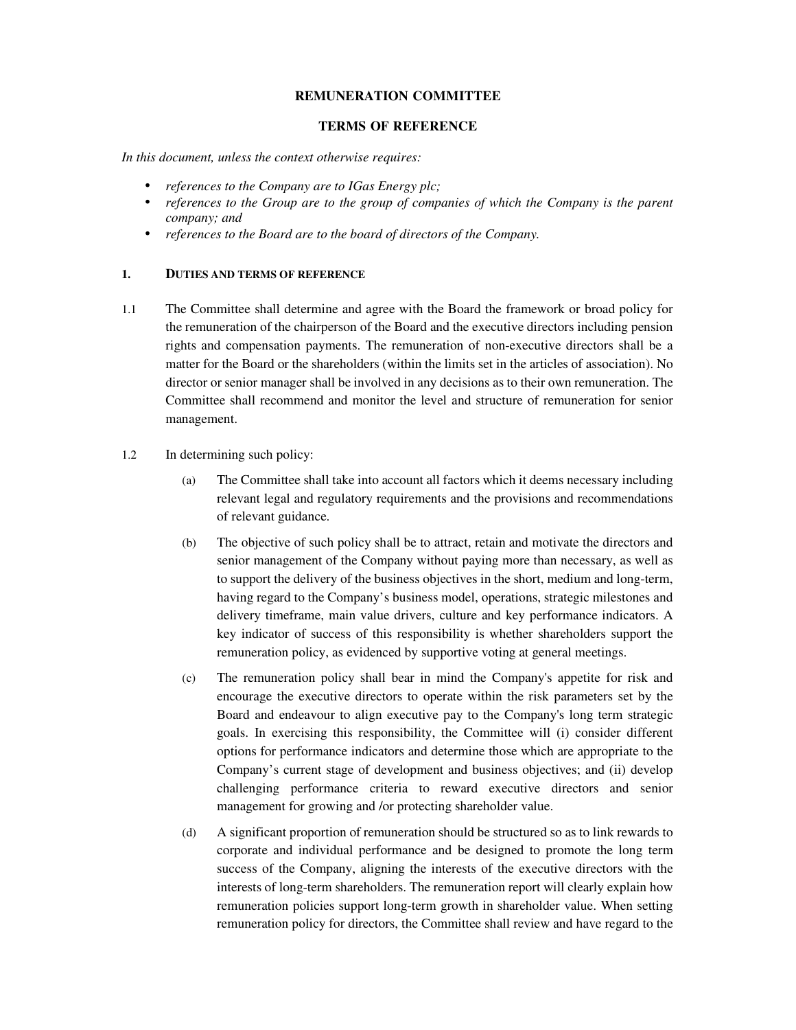## **REMUNERATION COMMITTEE**

### **TERMS OF REFERENCE**

*In this document, unless the context otherwise requires:* 

- *references to the Company are to IGas Energy plc;*
- *references to the Group are to the group of companies of which the Company is the parent company; and*
- *references to the Board are to the board of directors of the Company.*

#### **1. DUTIES AND TERMS OF REFERENCE**

- 1.1 The Committee shall determine and agree with the Board the framework or broad policy for the remuneration of the chairperson of the Board and the executive directors including pension rights and compensation payments. The remuneration of non-executive directors shall be a matter for the Board or the shareholders (within the limits set in the articles of association). No director or senior manager shall be involved in any decisions as to their own remuneration. The Committee shall recommend and monitor the level and structure of remuneration for senior management.
- 1.2 In determining such policy:
	- (a) The Committee shall take into account all factors which it deems necessary including relevant legal and regulatory requirements and the provisions and recommendations of relevant guidance.
	- (b) The objective of such policy shall be to attract, retain and motivate the directors and senior management of the Company without paying more than necessary, as well as to support the delivery of the business objectives in the short, medium and long-term, having regard to the Company's business model, operations, strategic milestones and delivery timeframe, main value drivers, culture and key performance indicators. A key indicator of success of this responsibility is whether shareholders support the remuneration policy, as evidenced by supportive voting at general meetings.
	- (c) The remuneration policy shall bear in mind the Company's appetite for risk and encourage the executive directors to operate within the risk parameters set by the Board and endeavour to align executive pay to the Company's long term strategic goals. In exercising this responsibility, the Committee will (i) consider different options for performance indicators and determine those which are appropriate to the Company's current stage of development and business objectives; and (ii) develop challenging performance criteria to reward executive directors and senior management for growing and /or protecting shareholder value.
	- (d) A significant proportion of remuneration should be structured so as to link rewards to corporate and individual performance and be designed to promote the long term success of the Company, aligning the interests of the executive directors with the interests of long-term shareholders. The remuneration report will clearly explain how remuneration policies support long-term growth in shareholder value. When setting remuneration policy for directors, the Committee shall review and have regard to the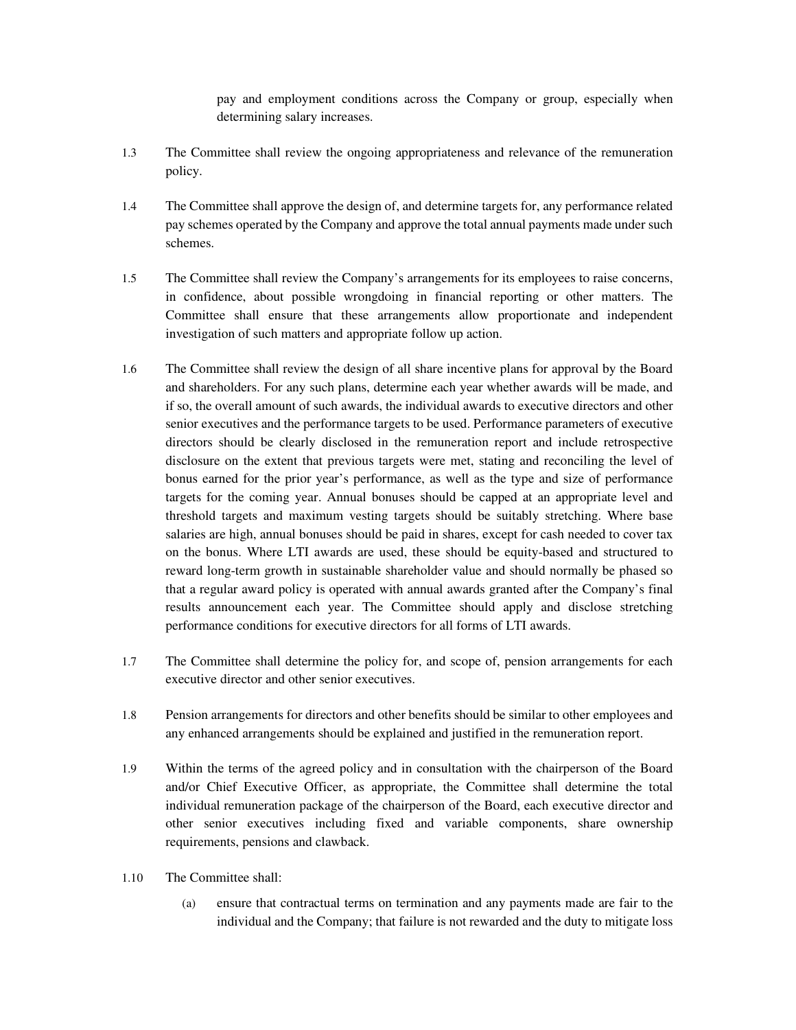pay and employment conditions across the Company or group, especially when determining salary increases.

- 1.3 The Committee shall review the ongoing appropriateness and relevance of the remuneration policy.
- 1.4 The Committee shall approve the design of, and determine targets for, any performance related pay schemes operated by the Company and approve the total annual payments made under such schemes.
- 1.5 The Committee shall review the Company's arrangements for its employees to raise concerns, in confidence, about possible wrongdoing in financial reporting or other matters. The Committee shall ensure that these arrangements allow proportionate and independent investigation of such matters and appropriate follow up action.
- 1.6 The Committee shall review the design of all share incentive plans for approval by the Board and shareholders. For any such plans, determine each year whether awards will be made, and if so, the overall amount of such awards, the individual awards to executive directors and other senior executives and the performance targets to be used. Performance parameters of executive directors should be clearly disclosed in the remuneration report and include retrospective disclosure on the extent that previous targets were met, stating and reconciling the level of bonus earned for the prior year's performance, as well as the type and size of performance targets for the coming year. Annual bonuses should be capped at an appropriate level and threshold targets and maximum vesting targets should be suitably stretching. Where base salaries are high, annual bonuses should be paid in shares, except for cash needed to cover tax on the bonus. Where LTI awards are used, these should be equity-based and structured to reward long-term growth in sustainable shareholder value and should normally be phased so that a regular award policy is operated with annual awards granted after the Company's final results announcement each year. The Committee should apply and disclose stretching performance conditions for executive directors for all forms of LTI awards.
- 1.7 The Committee shall determine the policy for, and scope of, pension arrangements for each executive director and other senior executives.
- 1.8 Pension arrangements for directors and other benefits should be similar to other employees and any enhanced arrangements should be explained and justified in the remuneration report.
- 1.9 Within the terms of the agreed policy and in consultation with the chairperson of the Board and/or Chief Executive Officer, as appropriate, the Committee shall determine the total individual remuneration package of the chairperson of the Board, each executive director and other senior executives including fixed and variable components, share ownership requirements, pensions and clawback.
- 1.10 The Committee shall:
	- (a) ensure that contractual terms on termination and any payments made are fair to the individual and the Company; that failure is not rewarded and the duty to mitigate loss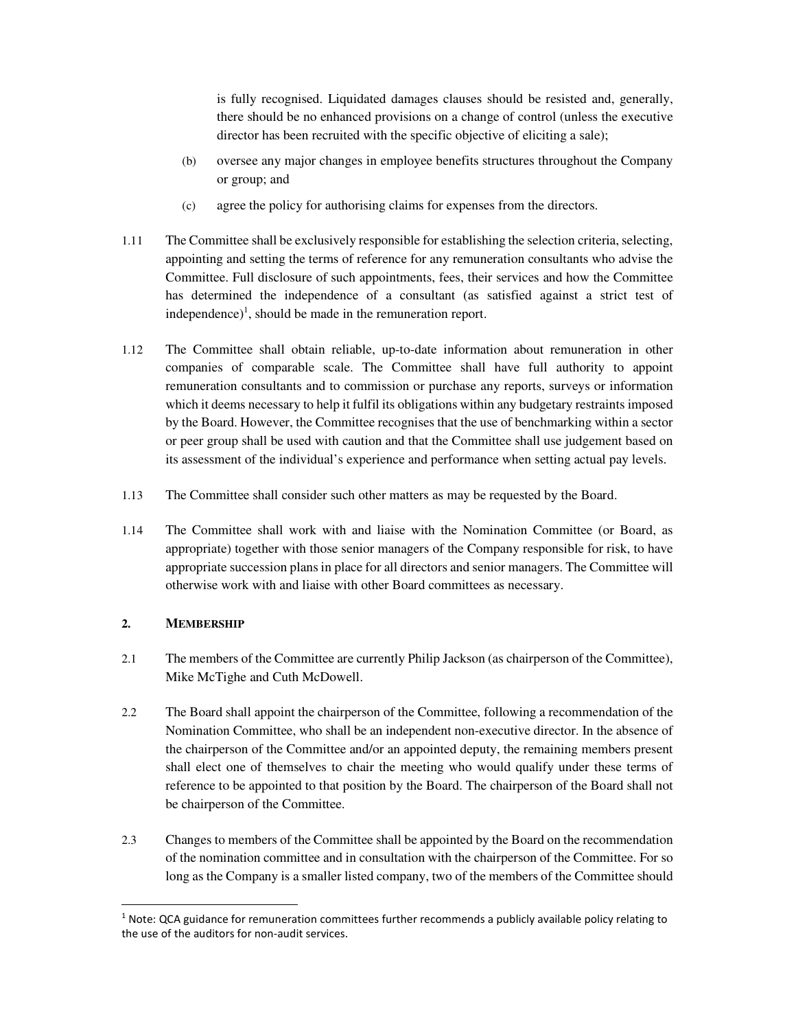is fully recognised. Liquidated damages clauses should be resisted and, generally, there should be no enhanced provisions on a change of control (unless the executive director has been recruited with the specific objective of eliciting a sale);

- (b) oversee any major changes in employee benefits structures throughout the Company or group; and
- (c) agree the policy for authorising claims for expenses from the directors.
- 1.11 The Committee shall be exclusively responsible for establishing the selection criteria, selecting, appointing and setting the terms of reference for any remuneration consultants who advise the Committee. Full disclosure of such appointments, fees, their services and how the Committee has determined the independence of a consultant (as satisfied against a strict test of independence)<sup>1</sup>, should be made in the remuneration report.
- 1.12 The Committee shall obtain reliable, up-to-date information about remuneration in other companies of comparable scale. The Committee shall have full authority to appoint remuneration consultants and to commission or purchase any reports, surveys or information which it deems necessary to help it fulfil its obligations within any budgetary restraints imposed by the Board. However, the Committee recognises that the use of benchmarking within a sector or peer group shall be used with caution and that the Committee shall use judgement based on its assessment of the individual's experience and performance when setting actual pay levels.
- 1.13 The Committee shall consider such other matters as may be requested by the Board.
- 1.14 The Committee shall work with and liaise with the Nomination Committee (or Board, as appropriate) together with those senior managers of the Company responsible for risk, to have appropriate succession plans in place for all directors and senior managers. The Committee will otherwise work with and liaise with other Board committees as necessary.

# **2. MEMBERSHIP**

1

- 2.1 The members of the Committee are currently Philip Jackson (as chairperson of the Committee), Mike McTighe and Cuth McDowell.
- 2.2 The Board shall appoint the chairperson of the Committee, following a recommendation of the Nomination Committee, who shall be an independent non-executive director. In the absence of the chairperson of the Committee and/or an appointed deputy, the remaining members present shall elect one of themselves to chair the meeting who would qualify under these terms of reference to be appointed to that position by the Board. The chairperson of the Board shall not be chairperson of the Committee.
- 2.3 Changes to members of the Committee shall be appointed by the Board on the recommendation of the nomination committee and in consultation with the chairperson of the Committee. For so long as the Company is a smaller listed company, two of the members of the Committee should

<sup>&</sup>lt;sup>1</sup> Note: QCA guidance for remuneration committees further recommends a publicly available policy relating to the use of the auditors for non-audit services.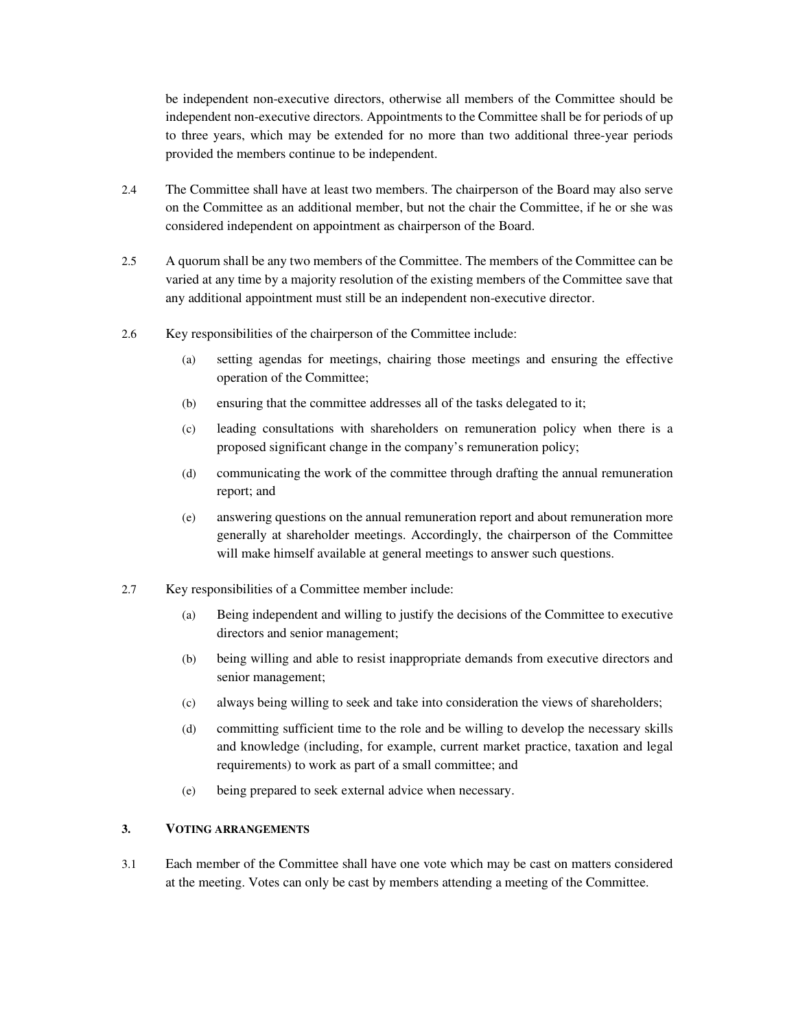be independent non-executive directors, otherwise all members of the Committee should be independent non-executive directors. Appointments to the Committee shall be for periods of up to three years, which may be extended for no more than two additional three-year periods provided the members continue to be independent.

- 2.4 The Committee shall have at least two members. The chairperson of the Board may also serve on the Committee as an additional member, but not the chair the Committee, if he or she was considered independent on appointment as chairperson of the Board.
- 2.5 A quorum shall be any two members of the Committee. The members of the Committee can be varied at any time by a majority resolution of the existing members of the Committee save that any additional appointment must still be an independent non-executive director.
- 2.6 Key responsibilities of the chairperson of the Committee include:
	- (a) setting agendas for meetings, chairing those meetings and ensuring the effective operation of the Committee;
	- (b) ensuring that the committee addresses all of the tasks delegated to it;
	- (c) leading consultations with shareholders on remuneration policy when there is a proposed significant change in the company's remuneration policy;
	- (d) communicating the work of the committee through drafting the annual remuneration report; and
	- (e) answering questions on the annual remuneration report and about remuneration more generally at shareholder meetings. Accordingly, the chairperson of the Committee will make himself available at general meetings to answer such questions.
- 2.7 Key responsibilities of a Committee member include:
	- (a) Being independent and willing to justify the decisions of the Committee to executive directors and senior management;
	- (b) being willing and able to resist inappropriate demands from executive directors and senior management;
	- (c) always being willing to seek and take into consideration the views of shareholders;
	- (d) committing sufficient time to the role and be willing to develop the necessary skills and knowledge (including, for example, current market practice, taxation and legal requirements) to work as part of a small committee; and
	- (e) being prepared to seek external advice when necessary.

# **3. VOTING ARRANGEMENTS**

3.1 Each member of the Committee shall have one vote which may be cast on matters considered at the meeting. Votes can only be cast by members attending a meeting of the Committee.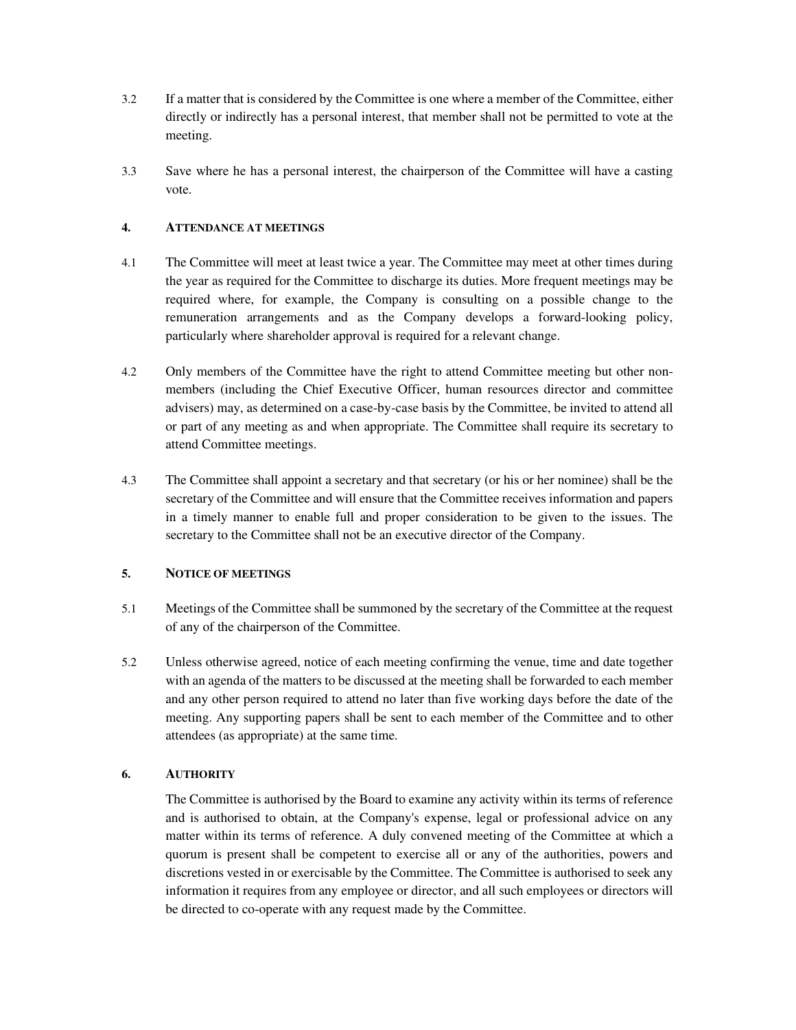- 3.2 If a matter that is considered by the Committee is one where a member of the Committee, either directly or indirectly has a personal interest, that member shall not be permitted to vote at the meeting.
- 3.3 Save where he has a personal interest, the chairperson of the Committee will have a casting vote.

# **4. ATTENDANCE AT MEETINGS**

- 4.1 The Committee will meet at least twice a year. The Committee may meet at other times during the year as required for the Committee to discharge its duties. More frequent meetings may be required where, for example, the Company is consulting on a possible change to the remuneration arrangements and as the Company develops a forward-looking policy, particularly where shareholder approval is required for a relevant change.
- 4.2 Only members of the Committee have the right to attend Committee meeting but other nonmembers (including the Chief Executive Officer, human resources director and committee advisers) may, as determined on a case-by-case basis by the Committee, be invited to attend all or part of any meeting as and when appropriate. The Committee shall require its secretary to attend Committee meetings.
- 4.3 The Committee shall appoint a secretary and that secretary (or his or her nominee) shall be the secretary of the Committee and will ensure that the Committee receives information and papers in a timely manner to enable full and proper consideration to be given to the issues. The secretary to the Committee shall not be an executive director of the Company.

# **5. NOTICE OF MEETINGS**

- 5.1 Meetings of the Committee shall be summoned by the secretary of the Committee at the request of any of the chairperson of the Committee.
- 5.2 Unless otherwise agreed, notice of each meeting confirming the venue, time and date together with an agenda of the matters to be discussed at the meeting shall be forwarded to each member and any other person required to attend no later than five working days before the date of the meeting. Any supporting papers shall be sent to each member of the Committee and to other attendees (as appropriate) at the same time.

# **6. AUTHORITY**

The Committee is authorised by the Board to examine any activity within its terms of reference and is authorised to obtain, at the Company's expense, legal or professional advice on any matter within its terms of reference. A duly convened meeting of the Committee at which a quorum is present shall be competent to exercise all or any of the authorities, powers and discretions vested in or exercisable by the Committee. The Committee is authorised to seek any information it requires from any employee or director, and all such employees or directors will be directed to co-operate with any request made by the Committee.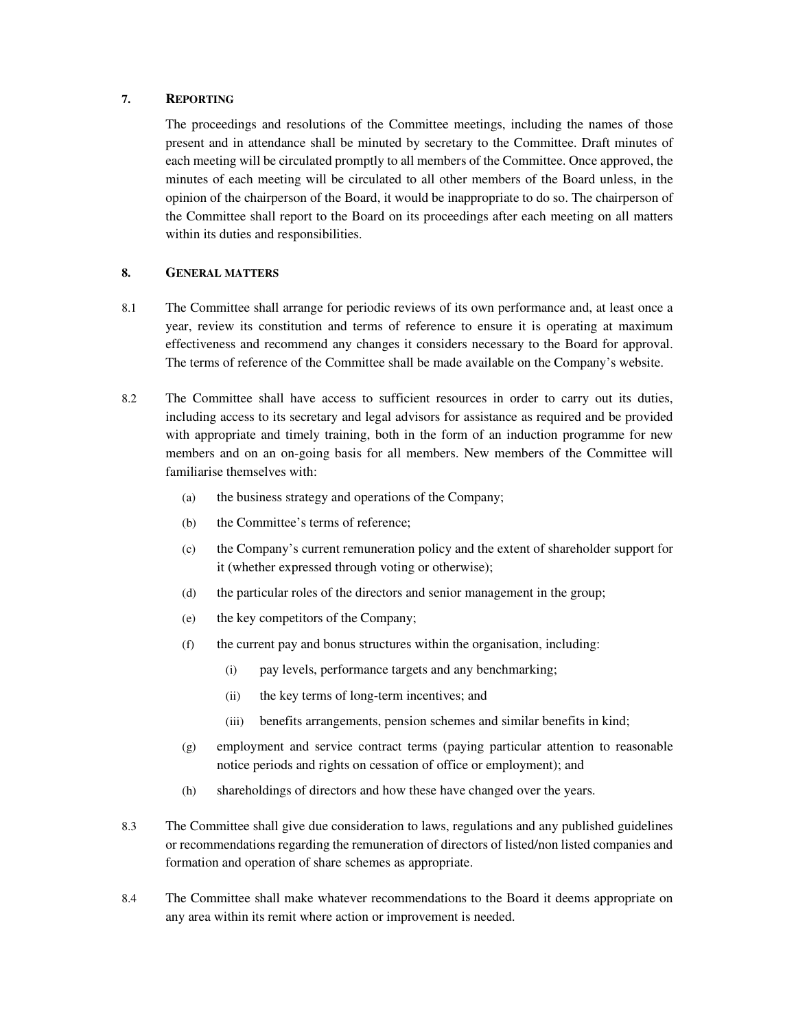# **7. REPORTING**

The proceedings and resolutions of the Committee meetings, including the names of those present and in attendance shall be minuted by secretary to the Committee. Draft minutes of each meeting will be circulated promptly to all members of the Committee. Once approved, the minutes of each meeting will be circulated to all other members of the Board unless, in the opinion of the chairperson of the Board, it would be inappropriate to do so. The chairperson of the Committee shall report to the Board on its proceedings after each meeting on all matters within its duties and responsibilities.

### **8. GENERAL MATTERS**

- 8.1 The Committee shall arrange for periodic reviews of its own performance and, at least once a year, review its constitution and terms of reference to ensure it is operating at maximum effectiveness and recommend any changes it considers necessary to the Board for approval. The terms of reference of the Committee shall be made available on the Company's website.
- 8.2 The Committee shall have access to sufficient resources in order to carry out its duties, including access to its secretary and legal advisors for assistance as required and be provided with appropriate and timely training, both in the form of an induction programme for new members and on an on-going basis for all members. New members of the Committee will familiarise themselves with:
	- (a) the business strategy and operations of the Company;
	- (b) the Committee's terms of reference;
	- (c) the Company's current remuneration policy and the extent of shareholder support for it (whether expressed through voting or otherwise);
	- (d) the particular roles of the directors and senior management in the group;
	- (e) the key competitors of the Company;
	- (f) the current pay and bonus structures within the organisation, including:
		- (i) pay levels, performance targets and any benchmarking;
		- (ii) the key terms of long-term incentives; and
		- (iii) benefits arrangements, pension schemes and similar benefits in kind;
	- (g) employment and service contract terms (paying particular attention to reasonable notice periods and rights on cessation of office or employment); and
	- (h) shareholdings of directors and how these have changed over the years.
- 8.3 The Committee shall give due consideration to laws, regulations and any published guidelines or recommendations regarding the remuneration of directors of listed/non listed companies and formation and operation of share schemes as appropriate.
- 8.4 The Committee shall make whatever recommendations to the Board it deems appropriate on any area within its remit where action or improvement is needed.